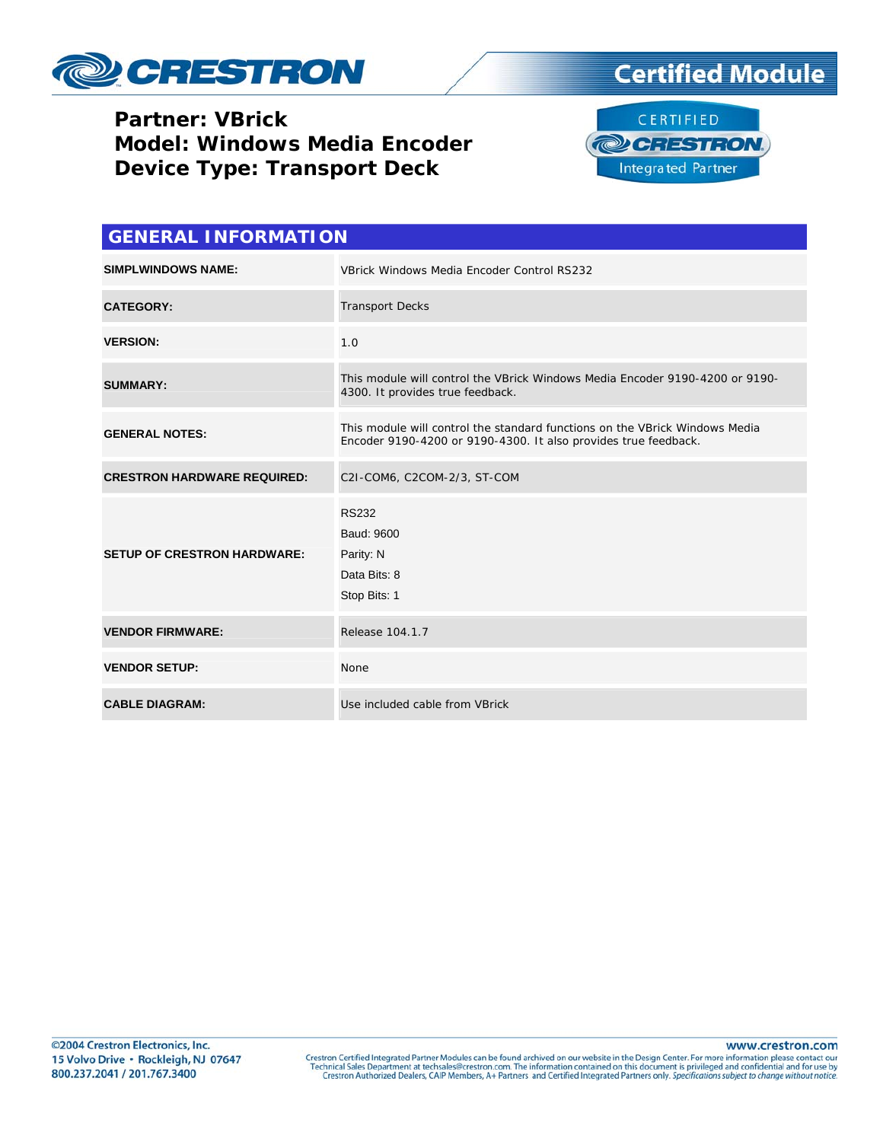

### **Partner: VBrick Model: Windows Media Encoder Device Type: Transport Deck**





| <b>GENERAL INFORMATION</b>         |                                                                                                                                                |  |  |
|------------------------------------|------------------------------------------------------------------------------------------------------------------------------------------------|--|--|
| <b>SIMPLWINDOWS NAME:</b>          | VBrick Windows Media Encoder Control RS232                                                                                                     |  |  |
| <b>CATEGORY:</b>                   | <b>Transport Decks</b>                                                                                                                         |  |  |
| <b>VERSION:</b>                    | 1.0                                                                                                                                            |  |  |
| <b>SUMMARY:</b>                    | This module will control the VBrick Windows Media Encoder 9190-4200 or 9190-<br>4300. It provides true feedback.                               |  |  |
| <b>GENERAL NOTES:</b>              | This module will control the standard functions on the VBrick Windows Media<br>Encoder 9190-4200 or 9190-4300. It also provides true feedback. |  |  |
| <b>CRESTRON HARDWARE REQUIRED:</b> | C2I-COM6, C2COM-2/3, ST-COM                                                                                                                    |  |  |
| <b>SETUP OF CRESTRON HARDWARE:</b> | <b>RS232</b><br>Baud: 9600<br>Parity: N<br>Data Bits: 8<br>Stop Bits: 1                                                                        |  |  |
| <b>VENDOR FIRMWARE:</b>            | Release 104.1.7                                                                                                                                |  |  |
| <b>VENDOR SETUP:</b>               | None                                                                                                                                           |  |  |
| <b>CABLE DIAGRAM:</b>              | Use included cable from VBrick                                                                                                                 |  |  |

www.crestron.com Crestron Certified Integrated Partner Modules can be found archived on our website in the Design Center. For more information please contact our Technical Sales Department at techsales@crestron.com. The information contain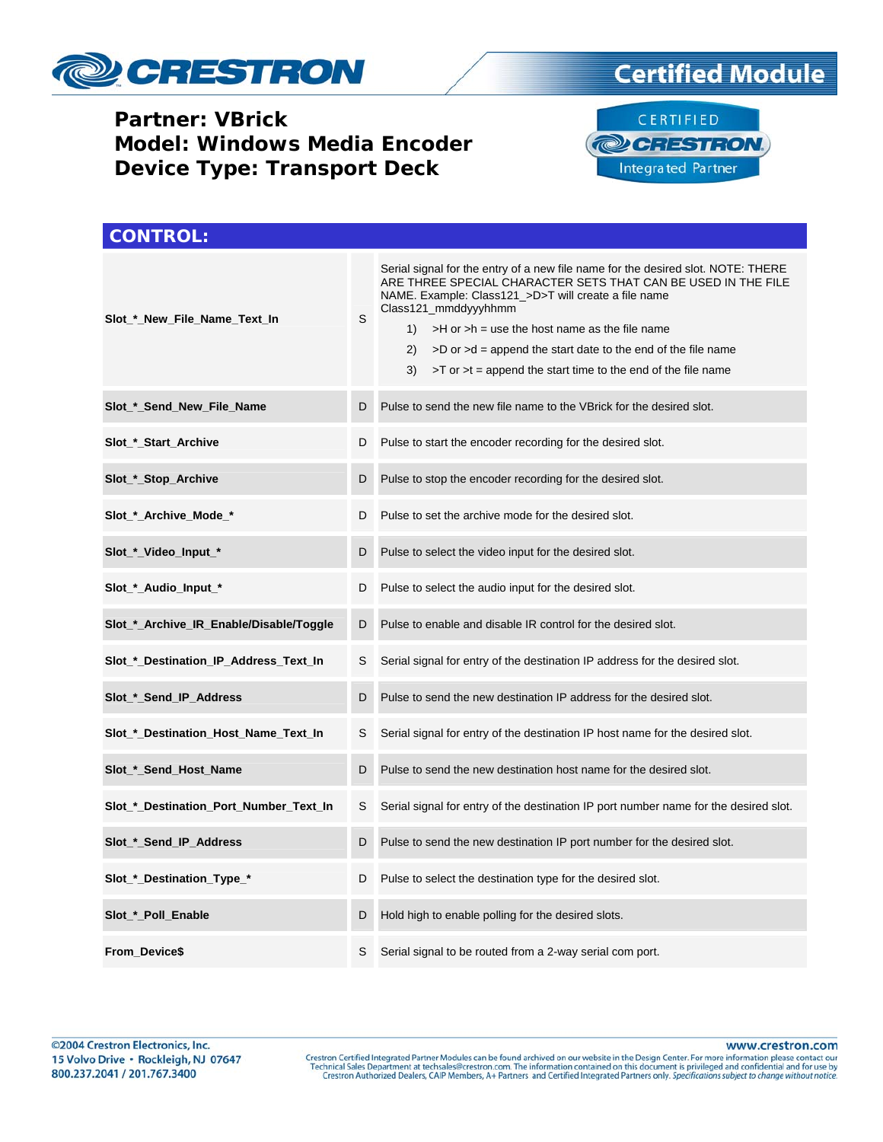

#### **Partner: VBrick Model: Windows Media Encoder Device Type: Transport Deck**

## **Certified Module**



| <b>CONTROL:</b>                         |   |                                                                                                                                                                                                                                                                                                                                                                                                                                                      |  |  |
|-----------------------------------------|---|------------------------------------------------------------------------------------------------------------------------------------------------------------------------------------------------------------------------------------------------------------------------------------------------------------------------------------------------------------------------------------------------------------------------------------------------------|--|--|
| Slot_*_New_File_Name_Text_In            | S | Serial signal for the entry of a new file name for the desired slot. NOTE: THERE<br>ARE THREE SPECIAL CHARACTER SETS THAT CAN BE USED IN THE FILE<br>NAME. Example: Class121_>D>T will create a file name<br>Class121_mmddyyyhhmm<br>$>H$ or $>h$ = use the host name as the file name<br>1)<br>2)<br>$>$ D or $>$ d = append the start date to the end of the file name<br>3)<br>$>$ T or $>$ t = append the start time to the end of the file name |  |  |
| Slot_*_Send_New_File_Name               | D | Pulse to send the new file name to the VBrick for the desired slot.                                                                                                                                                                                                                                                                                                                                                                                  |  |  |
| Slot_*_Start_Archive                    | D | Pulse to start the encoder recording for the desired slot.                                                                                                                                                                                                                                                                                                                                                                                           |  |  |
| Slot_*_Stop_Archive                     | D | Pulse to stop the encoder recording for the desired slot.                                                                                                                                                                                                                                                                                                                                                                                            |  |  |
| Slot_*_Archive_Mode_*                   | D | Pulse to set the archive mode for the desired slot.                                                                                                                                                                                                                                                                                                                                                                                                  |  |  |
| Slot_*_Video_Input_*                    | D | Pulse to select the video input for the desired slot.                                                                                                                                                                                                                                                                                                                                                                                                |  |  |
| Slot_*_Audio_Input_*                    | D | Pulse to select the audio input for the desired slot.                                                                                                                                                                                                                                                                                                                                                                                                |  |  |
| Slot_*_Archive_IR_Enable/Disable/Toggle | D | Pulse to enable and disable IR control for the desired slot.                                                                                                                                                                                                                                                                                                                                                                                         |  |  |
| Slot_*_Destination_IP_Address_Text_In   | S | Serial signal for entry of the destination IP address for the desired slot.                                                                                                                                                                                                                                                                                                                                                                          |  |  |
| Slot_*_Send_IP_Address                  | D | Pulse to send the new destination IP address for the desired slot.                                                                                                                                                                                                                                                                                                                                                                                   |  |  |
| Slot_*_Destination_Host_Name_Text_In    | S | Serial signal for entry of the destination IP host name for the desired slot.                                                                                                                                                                                                                                                                                                                                                                        |  |  |
| Slot_*_Send_Host_Name                   | D | Pulse to send the new destination host name for the desired slot.                                                                                                                                                                                                                                                                                                                                                                                    |  |  |
| Slot_*_Destination_Port_Number_Text_In  | S | Serial signal for entry of the destination IP port number name for the desired slot.                                                                                                                                                                                                                                                                                                                                                                 |  |  |
| Slot_*_Send_IP_Address                  | D | Pulse to send the new destination IP port number for the desired slot.                                                                                                                                                                                                                                                                                                                                                                               |  |  |
| Slot_*_Destination_Type_*               | D | Pulse to select the destination type for the desired slot.                                                                                                                                                                                                                                                                                                                                                                                           |  |  |
| Slot_*_Poll_Enable                      | D | Hold high to enable polling for the desired slots.                                                                                                                                                                                                                                                                                                                                                                                                   |  |  |
| From_Device\$                           | S | Serial signal to be routed from a 2-way serial com port.                                                                                                                                                                                                                                                                                                                                                                                             |  |  |

www.crestron.com

Crestron Certified Integrated Partner Modules can be found archived on our website in the Design Center. For more information please contact our Technical Sales Department at techsales@crestron.com. The information contain